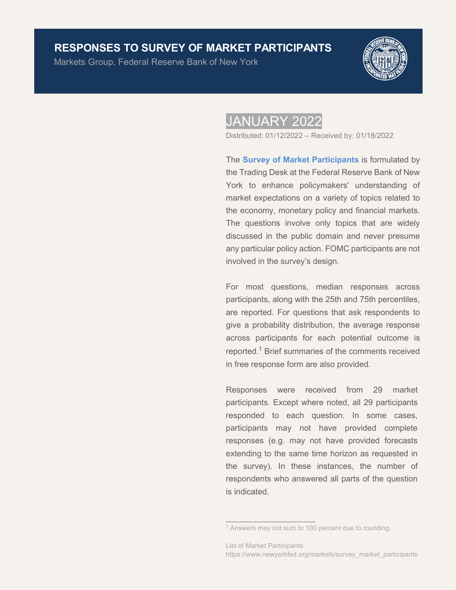# **RESPONSES TO SURVEY OF MARKET PARTICIPANTS**

Markets Group, Federal Reserve Bank of New York



# JANUARY 2022

Distributed: 01/12/2022 – Received by: 01/18/2022

The **[Survey of Market Participants](https://www.newyorkfed.org/markets/survey_market_participants)** is formulated by the Trading Desk at the Federal Reserve Bank of New York to enhance policymakers' understanding of market expectations on a variety of topics related to the economy, monetary policy and financial markets. The questions involve only topics that are widely discussed in the public domain and never presume any particular policy action. FOMC participants are not involved in the survey's design.

For most questions, median responses across participants, along with the 25th and 75th percentiles, are reported. For questions that ask respondents to give a probability distribution, the average response across participants for each potential outcome is reported.<sup>1</sup> Brief summaries of the comments received in free response form are also provided.

Responses were received from 29 market participants. Except where noted, all 29 participants responded to each question. In some cases, participants may not have provided complete responses (e.g. may not have provided forecasts extending to the same time horizon as requested in the survey). In these instances, the number of respondents who answered all parts of the question is indicated.

 $\overline{\phantom{a}}$  , which is a set of the set of the set of the set of the set of the set of the set of the set of the set of the set of the set of the set of the set of the set of the set of the set of the set of the set of th

<sup>&</sup>lt;sup>1</sup> Answers may not sum to 100 percent due to rounding.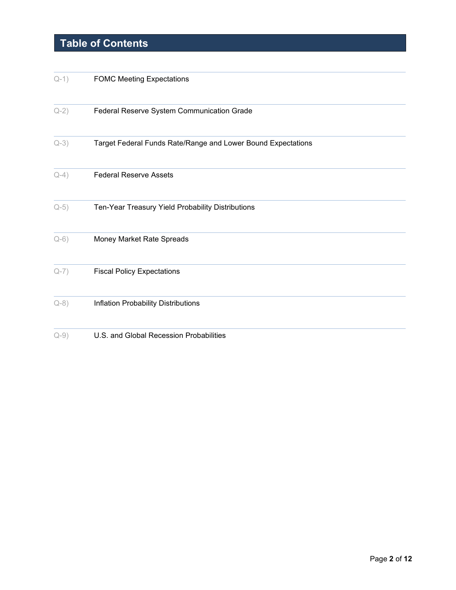# **Table of Contents**

| $Q-1)$    | <b>FOMC Meeting Expectations</b>                             |
|-----------|--------------------------------------------------------------|
| $Q-2)$    | Federal Reserve System Communication Grade                   |
| $Q-3)$    | Target Federal Funds Rate/Range and Lower Bound Expectations |
| $Q-4)$    | <b>Federal Reserve Assets</b>                                |
| $Q-5)$    | Ten-Year Treasury Yield Probability Distributions            |
| $Q-6)$    | Money Market Rate Spreads                                    |
| $Q-7)$    | <b>Fiscal Policy Expectations</b>                            |
| $Q-8)$    | Inflation Probability Distributions                          |
| $Q - 9$ ) | U.S. and Global Recession Probabilities                      |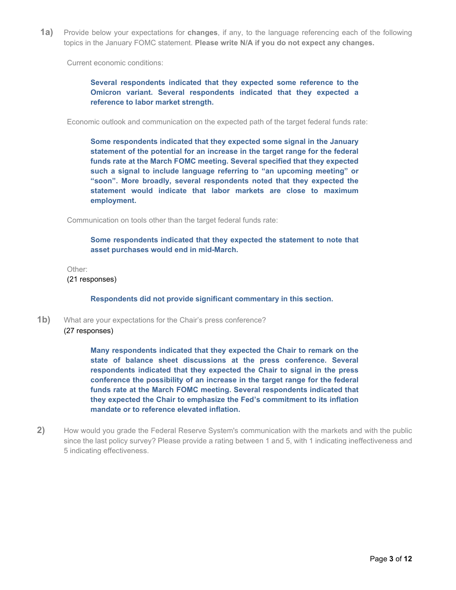<span id="page-2-0"></span>**1a)** Provide below your expectations for **changes**, if any, to the language referencing each of the following topics in the January FOMC statement. **Please write N/A if you do not expect any changes.**

Current economic conditions:

**Several respondents indicated that they expected some reference to the Omicron variant. Several respondents indicated that they expected a reference to labor market strength.**

Economic outlook and communication on the expected path of the target federal funds rate:

**Some respondents indicated that they expected some signal in the January statement of the potential for an increase in the target range for the federal funds rate at the March FOMC meeting. Several specified that they expected such a signal to include language referring to "an upcoming meeting" or "soon". More broadly, several respondents noted that they expected the statement would indicate that labor markets are close to maximum employment.** 

Communication on tools other than the target federal funds rate:

**Some respondents indicated that they expected the statement to note that asset purchases would end in mid-March.**

Other:

(21 responses)

**Respondents did not provide significant commentary in this section.**

**1b)** What are your expectations for the Chair's press conference? (27 responses)

> **Many respondents indicated that they expected the Chair to remark on the state of balance sheet discussions at the press conference. Several respondents indicated that they expected the Chair to signal in the press conference the possibility of an increase in the target range for the federal funds rate at the March FOMC meeting. Several respondents indicated that they expected the Chair to emphasize the Fed's commitment to its inflation mandate or to reference elevated inflation.**

<span id="page-2-1"></span>**2)** How would you grade the Federal Reserve System's communication with the markets and with the public since the last policy survey? Please provide a rating between 1 and 5, with 1 indicating ineffectiveness and 5 indicating effectiveness.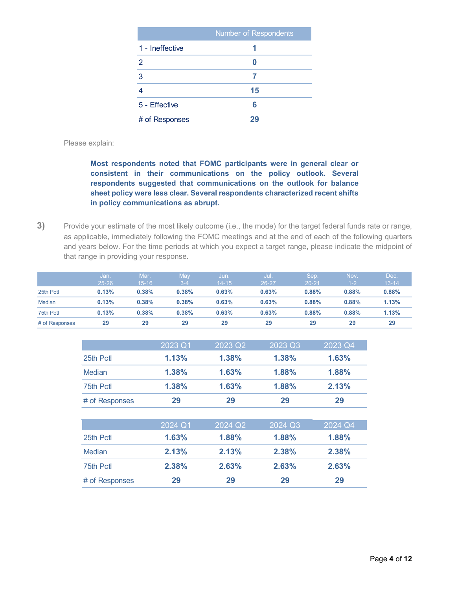|                 | <b>Number of Respondents</b> |
|-----------------|------------------------------|
| 1 - Ineffective |                              |
| 2               | Ω                            |
| 3               |                              |
|                 | 15                           |
| 5 - Effective   | 6                            |
| # of Responses  | 29                           |

Please explain:

**Most respondents noted that FOMC participants were in general clear or consistent in their communications on the policy outlook. Several respondents suggested that communications on the outlook for balance sheet policy were less clear. Several respondents characterized recent shifts in policy communications as abrupt.**

<span id="page-3-0"></span>**3)** Provide your estimate of the most likely outcome (i.e., the mode) for the target federal funds rate or range, as applicable, immediately following the FOMC meetings and at the end of each of the following quarters and years below. For the time periods at which you expect a target range, please indicate the midpoint of that range in providing your response.

|                | Jan.      | Mar.'     | May     | Jun.      | Uul.' | Sep.      | Nov.    | Dec.      |
|----------------|-----------|-----------|---------|-----------|-------|-----------|---------|-----------|
|                | $25 - 26$ | $15 - 16$ | $3 - 4$ | $14 - 15$ | 26-27 | $20 - 21$ | $1 - 2$ | $13 - 14$ |
| 25th Pct       | 0.13%     | 0.38%     | 0.38%   | 0.63%     | 0.63% | 0.88%     | 0.88%   | 0.88%     |
| <b>Median</b>  | 0.13%     | 0.38%     | 0.38%   | 0.63%     | 0.63% | 0.88%     | 0.88%   | 1.13%     |
| 75th Pctl      | 0.13%     | 0.38%     | 0.38%   | 0.63%     | 0.63% | 0.88%     | 0.88%   | 1.13%     |
| # of Responses | 29        | 29        | 29      | 29        | 29    | 29        | 29      | 29        |

|                | 2023 Q1 | 2023 Q2               | 2023 Q3 | 2023 Q4 |
|----------------|---------|-----------------------|---------|---------|
| 25th Pctl      | 1.13%   | 1.38%                 | 1.38%   | 1.63%   |
| Median         | 1.38%   | 1.63%                 | 1.88%   | 1.88%   |
| 75th Pct       | 1.38%   | 1.63%                 | 1.88%   | 2.13%   |
| # of Responses | 29      | 29                    | 29      | 29      |
|                |         |                       |         |         |
|                | 2024 Q1 | $2024$ Q <sub>2</sub> | 2024 Q3 | 2024 Q4 |
| 25th Pctl      | 1.63%   | 1.88%                 | 1.88%   | 1.88%   |
| Median         | 2.13%   | 2.13%                 | 2.38%   | 2.38%   |
| 75th Pctl      | 2.38%   | 2.63%                 | 2.63%   | 2.63%   |
| # of Responses | 29      | 29                    | 29      | 29      |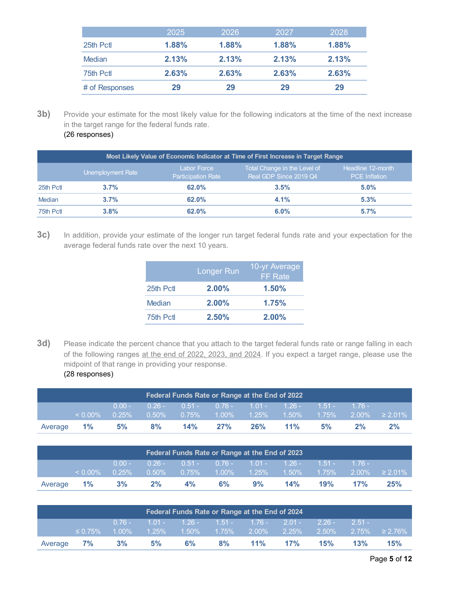|                | 2025  | 2026  | 2027  | 2028  |
|----------------|-------|-------|-------|-------|
| 25th Pctl      | 1.88% | 1.88% | 1.88% | 1.88% |
| Median         | 2.13% | 2.13% | 2.13% | 2.13% |
| 75th Pctl      | 2.63% | 2.63% | 2.63% | 2.63% |
| # of Responses | 29    | 29    | 29    | 29    |

**3b)** Provide your estimate for the most likely value for the following indicators at the time of the next increase in the target range for the federal funds rate.

|  | (26 responses) |  |
|--|----------------|--|
|--|----------------|--|

|          | Most Likely Value of Economic Indicator at Time of First Increase in Target Range |                                                 |                                                        |                                           |  |  |  |  |  |  |
|----------|-----------------------------------------------------------------------------------|-------------------------------------------------|--------------------------------------------------------|-------------------------------------------|--|--|--|--|--|--|
|          | Unemployment Rate                                                                 | <b>Labor Force</b><br><b>Participation Rate</b> | Total Change in the Level of<br>Real GDP Since 2019 Q4 | Headline 12-month<br><b>PCE</b> Inflation |  |  |  |  |  |  |
| 25th Pct | 3.7%                                                                              | $62.0\%$                                        | 3.5%                                                   | $5.0\%$                                   |  |  |  |  |  |  |
| Median   | 3.7%                                                                              | 62.0%                                           | 4.1%                                                   | 5.3%                                      |  |  |  |  |  |  |
| 75th Pct | 3.8%                                                                              | 62.0%                                           | $6.0\%$                                                | 5.7%                                      |  |  |  |  |  |  |

**3c)** In addition, provide your estimate of the longer run target federal funds rate and your expectation for the average federal funds rate over the next 10 years.

|           | <b>Longer Run</b> | 10-yr Average<br><b>FF</b> Rate |
|-----------|-------------------|---------------------------------|
| 25th Pctl | $2.00\%$          | 1.50%                           |
| Median    | $2.00\%$          | 1.75%                           |
| 75th Pctl | 2.50%             | $2.00\%$                        |

**3d)** Please indicate the percent chance that you attach to the target federal funds rate or range falling in each of the following ranges at the end of 2022, 2023, and 2024. If you expect a target range, please use the midpoint of that range in providing your response. (28 responses)

| Federal Funds Rate or Range at the End of 2022 |            |          |          |                                                    |     |     |     |    |    |                                                            |
|------------------------------------------------|------------|----------|----------|----------------------------------------------------|-----|-----|-----|----|----|------------------------------------------------------------|
|                                                |            | $0.00 -$ |          | $0.26 - 0.51 - 0.76 - 1.01 - 1.26 - 1.51 - 1.76 -$ |     |     |     |    |    |                                                            |
|                                                | $< 0.00\%$ | $0.25\%$ | $0.50\%$ | $-0.75\%$                                          |     |     |     |    |    | $1.00\%$ $1.25\%$ $1.50\%$ $1.75\%$ $2.00\%$ $\geq 2.01\%$ |
| Average                                        | $1\%$      | 5%       | 8%       | 14%                                                | 27% | 26% | 11% | 5% | 2% | $2\%$                                                      |

| Federal Funds Rate or Range at the End of 2023 |            |          |          |                                                               |                                     |    |     |             |         |                        |
|------------------------------------------------|------------|----------|----------|---------------------------------------------------------------|-------------------------------------|----|-----|-------------|---------|------------------------|
|                                                |            | $0.00 -$ | $0.26 -$ |                                                               | $0.51 - 0.76 - 1.01 - 1.26 -$       |    |     | $-1.51 - 7$ | $-176-$ |                        |
|                                                | $< 0.00\%$ | $0.25\%$ |          | $\begin{array}{ c c c }\n\hline\n0.50\% & 0.75\% \end{array}$ | $1.00\%$ $1.25\%$ $1.50\%$ $1.75\%$ |    |     |             |         | $2.00\%$ $\geq 2.01\%$ |
| Average                                        | $1\%$      | 3%       | 2%       | $4\%$                                                         | $6\%$                               | 9% | 14% | 19%         | 17%     | 25%                    |

|         | Federal Funds Rate or Range at the End of 2024 |          |                                                    |    |       |     |     |     |     |                                                                                      |
|---------|------------------------------------------------|----------|----------------------------------------------------|----|-------|-----|-----|-----|-----|--------------------------------------------------------------------------------------|
|         | $\leq 0.75\%$                                  | $0.76 -$ | $1.01 - 1.26 - 1.51 - 1.76 - 2.01 - 2.26 - 2.51 -$ |    |       |     |     |     |     | $\frac{1}{1.00\%}$ 1.25%   1.50%   1.75%   2.00%   2.25%   2.50%   2.75%   ≥ 2.76% ] |
|         |                                                |          |                                                    |    |       |     |     |     |     |                                                                                      |
| Average | 7%                                             | 3%       | 5%                                                 | 6% | $8\%$ | 11% | 17% | 15% | 13% | 15%                                                                                  |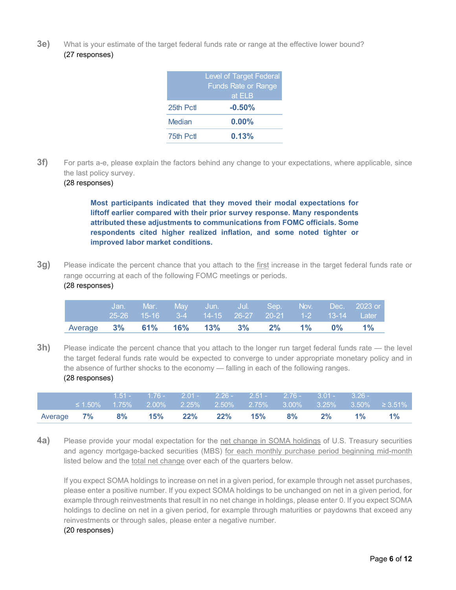**3e)** What is your estimate of the target federal funds rate or range at the effective lower bound? (27 responses)

|           | <b>Level of Target Federal</b><br><b>Funds Rate or Range</b><br>at ELB |
|-----------|------------------------------------------------------------------------|
| 25th Pctl | $-0.50%$                                                               |
| Median    | $0.00\%$                                                               |
| 75th Pctl | 0.13%                                                                  |

**3f)** For parts a-e, please explain the factors behind any change to your expectations, where applicable, since the last policy survey.

### (28 responses)

**Most participants indicated that they moved their modal expectations for liftoff earlier compared with their prior survey response. Many respondents attributed these adjustments to communications from FOMC officials. Some respondents cited higher realized inflation, and some noted tighter or improved labor market conditions.**

**3g)** Please indicate the percent chance that you attach to the first increase in the target federal funds rate or range occurring at each of the following FOMC meetings or periods. (28 responses)

|                                       |  |  |  |  | <b>didition. Mar. May Jun. Jul. Sep. Nov. Dec. 2023.or</b><br>25-26 15-16 3-4 14-15 26-27 20-21 1-2 13-14 Later |
|---------------------------------------|--|--|--|--|-----------------------------------------------------------------------------------------------------------------|
| Average 3% 61% 16% 13% 3% 2% 1% 0% 1% |  |  |  |  |                                                                                                                 |

**3h)** Please indicate the percent chance that you attach to the longer run target federal funds rate — the level the target federal funds rate would be expected to converge to under appropriate monetary policy and in the absence of further shocks to the economy — falling in each of the following ranges. (28 responses)

|                   |  |  | ' 1.51 - 1.76 - 2.01 - 2.26 - 2.51 - 2.76 - 3.01 - 3.26 - |       |       |                                                                      |
|-------------------|--|--|-----------------------------------------------------------|-------|-------|----------------------------------------------------------------------|
|                   |  |  |                                                           |       |       | $\leq 1.50\%$ 1.75% 2.00% 2.25% 2.50% 2.75% 3.00% 3.25% 3.50% ≥3.51% |
| Average <b>7%</b> |  |  | 8% 15% 22% 22% 15% 8%                                     | $2\%$ | $1\%$ | $1\%$                                                                |

<span id="page-5-0"></span>**4a)** Please provide your modal expectation for the net change in SOMA holdings of U.S. Treasury securities and agency mortgage-backed securities (MBS) for each monthly purchase period beginning mid-month listed below and the total net change over each of the quarters below.

If you expect SOMA holdings to increase on net in a given period, for example through net asset purchases, please enter a positive number. If you expect SOMA holdings to be unchanged on net in a given period, for example through reinvestments that result in no net change in holdings, please enter 0. If you expect SOMA holdings to decline on net in a given period, for example through maturities or paydowns that exceed any reinvestments or through sales, please enter a negative number.

#### (20 responses)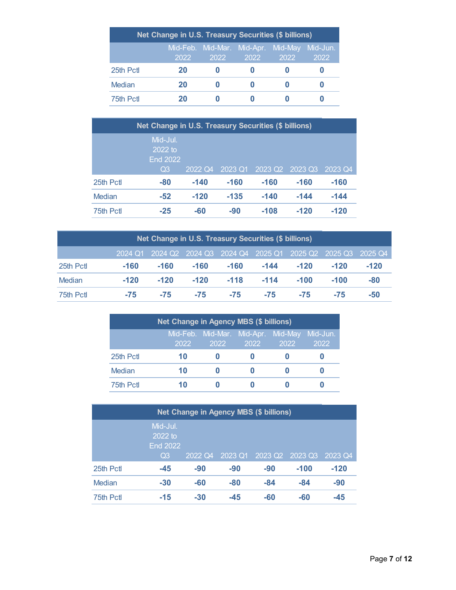| Net Change in U.S. Treasury Securities (\$ billions) |      |                                                     |      |      |      |  |  |  |  |  |
|------------------------------------------------------|------|-----------------------------------------------------|------|------|------|--|--|--|--|--|
|                                                      | 2022 | Mid-Feb. Mid-Mar. Mid-Apr. Mid-May Mid-Jun.<br>2022 | 2022 | 2022 | 2022 |  |  |  |  |  |
| 25th Pctl                                            | 20   |                                                     |      |      |      |  |  |  |  |  |
| Median                                               | 20   |                                                     |      |      |      |  |  |  |  |  |
| 75th Pctl                                            | 20   |                                                     |      |      |      |  |  |  |  |  |

| Net Change in U.S. Treasury Securities (\$ billions) |                                                |         |         |         |         |         |  |  |  |  |
|------------------------------------------------------|------------------------------------------------|---------|---------|---------|---------|---------|--|--|--|--|
|                                                      | Mid-Jul.<br>$2022$ to<br><b>End 2022</b><br>Q3 | 2022 Q4 | 2023 Q1 | 2023 Q2 | 2023 Q3 | 2023 Q4 |  |  |  |  |
| 25th Pctl                                            | $-80$                                          | $-140$  | $-160$  | $-160$  | $-160$  | $-160$  |  |  |  |  |
| Median                                               | $-52$                                          | $-120$  | $-135$  | $-140$  | $-144$  | $-144$  |  |  |  |  |
| 75th Pctl                                            | $-25$                                          | -60     | $-90$   | $-108$  | $-120$  | $-120$  |  |  |  |  |

| Net Change in U.S. Treasury Securities (\$ billions)            |        |        |        |        |        |        |        |        |  |  |  |
|-----------------------------------------------------------------|--------|--------|--------|--------|--------|--------|--------|--------|--|--|--|
| 2024 Q1 2024 Q2 2024 Q3 2024 Q4 2025 Q1 2025 Q2 2025 Q3 2025 Q4 |        |        |        |        |        |        |        |        |  |  |  |
| 25th Pct                                                        | $-160$ | $-160$ | $-160$ | $-160$ | $-144$ | $-120$ | $-120$ | $-120$ |  |  |  |
| Median                                                          | $-120$ | $-120$ | $-120$ | $-118$ | $-114$ | $-100$ | $-100$ | $-80$  |  |  |  |
| 75th Pctl                                                       | -75    | $-75$  | $-75$  | $-75$  | -75    | $-75$  | $-75$  | $-50$  |  |  |  |

| <b>Net Change in Agency MBS (\$ billions)</b> |      |                                                     |      |      |      |  |  |  |  |  |  |
|-----------------------------------------------|------|-----------------------------------------------------|------|------|------|--|--|--|--|--|--|
|                                               | 2022 | Mid-Feb. Mid-Mar. Mid-Apr. Mid-May Mid-Jun.<br>2022 | 2022 | 2022 | 2022 |  |  |  |  |  |  |
| 25th Pctl                                     | 10   |                                                     |      |      |      |  |  |  |  |  |  |
| Median                                        | 10   |                                                     |      |      |      |  |  |  |  |  |  |
| 75th Pctl                                     | 10   |                                                     |      |      |      |  |  |  |  |  |  |

| Net Change in Agency MBS (\$ billions) |                                                          |         |         |                     |         |         |  |  |  |  |
|----------------------------------------|----------------------------------------------------------|---------|---------|---------------------|---------|---------|--|--|--|--|
|                                        | Mid-Jul.<br>2022 to<br><b>End 2022</b><br>Q <sub>3</sub> | 2022 Q4 | 2023 Q1 | 2023 Q <sub>2</sub> | 2023 Q3 | 2023 Q4 |  |  |  |  |
| 25th Pctl                              | $-45$                                                    | $-90$   | $-90$   | $-90$               | $-100$  | $-120$  |  |  |  |  |
| <b>Median</b>                          | $-30$                                                    | $-60$   | $-80$   | $-84$               | $-84$   | $-90$   |  |  |  |  |
| 75th Pctl                              | $-15$                                                    | $-30$   | $-45$   | $-60$               | -60     | -45     |  |  |  |  |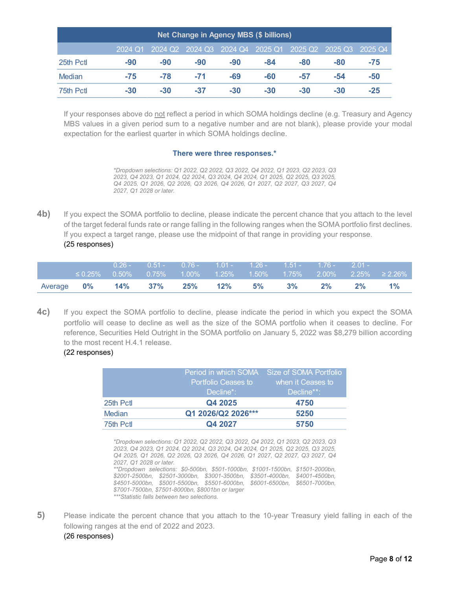| <b>Net Change in Agency MBS (\$ billions)</b>                                           |       |       |       |       |       |     |       |       |  |  |  |
|-----------------------------------------------------------------------------------------|-------|-------|-------|-------|-------|-----|-------|-------|--|--|--|
| 2025 Q1<br>2024 Q2 2024 Q3 2024 Q4<br>2025 Q3 2025 Q4<br>2025 Q <sub>2</sub><br>2024 Q1 |       |       |       |       |       |     |       |       |  |  |  |
| 25th Pctl                                                                               | $-90$ | -90   | $-90$ | $-90$ | -84   | -80 | -80   | $-75$ |  |  |  |
| <b>Median</b>                                                                           | -75   | $-78$ | $-71$ | -69   | -60   | -57 | -54   | $-50$ |  |  |  |
| 75th Pctl                                                                               | $-30$ | $-30$ | $-37$ | $-30$ | $-30$ | -30 | $-30$ | $-25$ |  |  |  |

If your responses above do not reflect a period in which SOMA holdings decline (e.g. Treasury and Agency MBS values in a given period sum to a negative number and are not blank), please provide your modal expectation for the earliest quarter in which SOMA holdings decline.

#### **There were three responses.\***

*\*Dropdown selections: Q1 2022, Q2 2022, Q3 2022, Q4 2022, Q1 2023, Q2 2023, Q3 2023, Q4 2023, Q1 2024, Q2 2024, Q3 2024, Q4 2024, Q1 2025, Q2 2025, Q3 2025, Q4 2025, Q1 2026, Q2 2026, Q3 2026, Q4 2026, Q1 2027, Q2 2027, Q3 2027, Q4 2027, Q1 2028 or later.* 

**4b)** If you expect the SOMA portfolio to decline, please indicate the percent chance that you attach to the level of the target federal funds rate or range falling in the following ranges when the SOMA portfolio first declines. If you expect a target range, please use the midpoint of that range in providing your response. (25 responses)

|                               |               | $0.26 -$ | $0.51 - 0.76 - 1.01 - 1.26 - 1.51 - 1.76 - 2.01 -$ |  |             |  |                                                                  |
|-------------------------------|---------------|----------|----------------------------------------------------|--|-------------|--|------------------------------------------------------------------|
|                               | $\leq 0.25\%$ |          |                                                    |  |             |  | ,0.50%  0.75%  1.00%  1.25%  1.50%  1.75%  2.00%  2.25%  ≥ 2.26% |
| Average 0% 14% 37% 25% 12% 5% |               |          |                                                    |  | $3\%$ 2% 2% |  | $1\%$                                                            |

**4c)** If you expect the SOMA portfolio to decline, please indicate the period in which you expect the SOMA portfolio will cease to decline as well as the size of the SOMA portfolio when it ceases to decline. For reference, Securities Held Outright in the SOMA portfolio on January 5, 2022 was \$8,279 billion according to the most recent H.4.1 release.

#### (22 responses)

|               |                            | Period in which SOMA Size of SOMA Portfolio |
|---------------|----------------------------|---------------------------------------------|
|               | <b>Portfolio Ceases to</b> | when it Ceases to                           |
|               | Decline*:                  | Decline**:                                  |
| 25th Pctl     | Q4 2025                    | 4750                                        |
| <b>Median</b> | Q1 2026/Q2 2026***         | 5250                                        |
| 75th Pctl     | Q4 2027                    | 5750                                        |

*\*Dropdown selections: Q1 2022, Q2 2022, Q3 2022, Q4 2022, Q1 2023, Q2 2023, Q3 2023, Q4 2023, Q1 2024, Q2 2024, Q3 2024, Q4 2024, Q1 2025, Q2 2025, Q3 2025, Q4 2025, Q1 2026, Q2 2026, Q3 2026, Q4 2026, Q1 2027, Q2 2027, Q3 2027, Q4 2027, Q1 2028 or later. \*\*Dropdown selections: \$0-500bn, \$501-1000bn, \$1001-1500bn, \$1501-2000bn, \$2001-2500bn, \$2501-3000bn, \$3001-3500bn, \$3501-4000bn, \$4001-4500bn, \$4501-5000bn, \$5001-5500bn, \$5501-6000bn, \$6001-6500bn, \$6501-7000bn, \$7001-7500bn, \$7501-8000bn, \$8001bn or larger \*\*\*Statistic falls between two selections.*

<span id="page-7-0"></span>**5)** Please indicate the percent chance that you attach to the 10-year Treasury yield falling in each of the following ranges at the end of 2022 and 2023. (26 responses)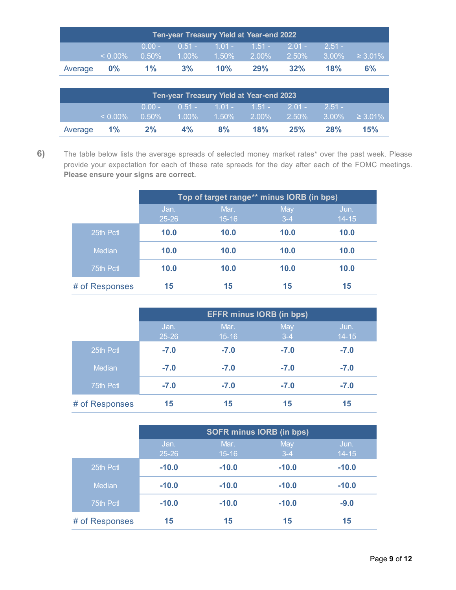| Ten-year Treasury Yield at Year-end 2022 |            |             |       |     |                                                            |     |          |    |  |
|------------------------------------------|------------|-------------|-------|-----|------------------------------------------------------------|-----|----------|----|--|
|                                          |            | $70.00 - 7$ |       |     | $\frac{1}{10.51}$ 1.01 - 1.51 - 2.01 -                     |     | $2.51 -$ |    |  |
|                                          | $< 0.00\%$ | $0.50\%$    |       |     | $1.00\%$ $1.50\%$ $2.00\%$ $2.50\%$ $3.00\%$ $\geq 3.01\%$ |     |          |    |  |
| Average 0%                               |            | $1\%$       | $3\%$ | 10% | 29%                                                        | 32% | 18%      | 6% |  |

| Ten-year Treasury Yield at Year-end 2023 |            |                       |          |                                                      |          |          |          |                      |  |
|------------------------------------------|------------|-----------------------|----------|------------------------------------------------------|----------|----------|----------|----------------------|--|
|                                          | $< 0.00\%$ | $0.00 -$<br>$10.50\%$ | $1.00\%$ | $^{\prime}$ 0.51 - 1.01 - 1.51 - 2.01 -<br>$-1.50\%$ | $2.00\%$ | $2.50\%$ | $2.51 -$ | $3.00\% \t 2.3.01\%$ |  |
| Average 1%                               |            | $2\%$                 | $4\%$    | 8%                                                   | 18%      | 25%      | 28%      | 15%                  |  |

<span id="page-8-0"></span>**6)** The table below lists the average spreads of selected money market rates\* over the past week. Please provide your expectation for each of these rate spreads for the day after each of the FOMC meetings. **Please ensure your signs are correct.**

|                | Top of target range** minus IORB (in bps) |                   |                |                   |  |  |  |
|----------------|-------------------------------------------|-------------------|----------------|-------------------|--|--|--|
|                | Jan.<br>$25 - 26$                         | Mar.<br>$15 - 16$ | May<br>$3 - 4$ | Jun.<br>$14 - 15$ |  |  |  |
| 25th Pctl      | 10.0                                      | 10.0              | 10.0           | 10.0              |  |  |  |
| Median         | 10.0                                      | 10.0              | 10.0           | 10.0              |  |  |  |
| 75th Pctl      | 10.0                                      | 10.0              | 10.0           | 10.0              |  |  |  |
| # of Responses | 15                                        | 15                | 15             | 15                |  |  |  |

|                | <b>EFFR minus IORB (in bps)</b> |                   |                |                   |  |  |  |
|----------------|---------------------------------|-------------------|----------------|-------------------|--|--|--|
|                | Jan.<br>$25 - 26$               | Mar.<br>$15 - 16$ | May<br>$3 - 4$ | Jun.<br>$14 - 15$ |  |  |  |
| 25th Pctl      | $-7.0$                          | $-7.0$            | $-7.0$         | $-7.0$            |  |  |  |
| Median         | $-7.0$                          | $-7.0$            | $-7.0$         | $-7.0$            |  |  |  |
| 75th Pctl      | $-7.0$                          | $-7.0$            | $-7.0$         | $-7.0$            |  |  |  |
| # of Responses | 15                              | 15                | 15             | 15                |  |  |  |

|                | <b>SOFR minus IORB (in bps)</b> |           |         |           |  |  |  |
|----------------|---------------------------------|-----------|---------|-----------|--|--|--|
|                | Jan.                            | Mar.      | May     | Jun.      |  |  |  |
|                | $25 - 26$                       | $15 - 16$ | $3-4$   | $14 - 15$ |  |  |  |
| 25th Pctl      | $-10.0$                         | $-10.0$   | $-10.0$ | $-10.0$   |  |  |  |
| Median         | $-10.0$                         | $-10.0$   | $-10.0$ | $-10.0$   |  |  |  |
| 75th Pctl      | $-10.0$                         | $-10.0$   | $-10.0$ | $-9.0$    |  |  |  |
| # of Responses | 15                              | 15        | 15      | 15        |  |  |  |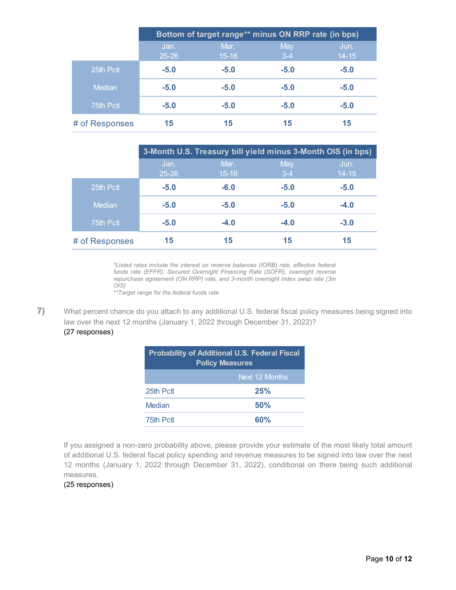|                | Bottom of target range** minus ON RRP rate (in bps) |                   |                |                   |  |  |  |  |
|----------------|-----------------------------------------------------|-------------------|----------------|-------------------|--|--|--|--|
|                | Jan.<br>$25 - 26$                                   | Mar.<br>$15 - 16$ | May<br>$3 - 4$ | Jun.<br>$14 - 15$ |  |  |  |  |
| 25th Pctl      | $-5.0$                                              | $-5.0$            | $-5.0$         | $-5.0$            |  |  |  |  |
| <b>Median</b>  | $-5.0$                                              | $-5.0$            | $-5.0$         | $-5.0$            |  |  |  |  |
| 75th Pctl      | $-5.0$                                              | $-5.0$            | $-5.0$         | $-5.0$            |  |  |  |  |
| # of Responses | 15                                                  | 15                | 15             | 15                |  |  |  |  |

|                |                   | 3-Month U.S. Treasury bill yield minus 3-Month OIS (in bps) |                |                   |
|----------------|-------------------|-------------------------------------------------------------|----------------|-------------------|
|                | Jan.<br>$25 - 26$ | Mar.<br>$15 - 16$                                           | May<br>$3 - 4$ | Jun.<br>$14 - 15$ |
| 25th Pctl      | $-5.0$            | $-6.0$                                                      | $-5.0$         | $-5.0$            |
| Median         | $-5.0$            | $-5.0$                                                      | $-5.0$         | $-4.0$            |
| 75th Pctl      | $-5.0$            | $-4.0$                                                      | $-4.0$         | $-3.0$            |
| # of Responses | 15                | 15                                                          | 15             | 15                |

*\*Listed rates include the interest on reserve balances (IORB) rate, effective federal funds rate (EFFR), Secured Overnight Financing Rate (SOFR), overnight reverse repurchase agreement (ON RRP) rate, and 3-month overnight index swap rate (3m OIS)*

*\*\*Target range for the federal funds rate*

**7)** What percent chance do you attach to any additional U.S. federal fiscal policy measures being signed into law over the next 12 months (January 1, 2022 through December 31, 2022)?

## <span id="page-9-0"></span>(27 responses)

| <b>Probability of Additional U.S. Federal Fiscal</b><br><b>Policy Measures</b> |                |  |  |  |
|--------------------------------------------------------------------------------|----------------|--|--|--|
|                                                                                | Next 12 Months |  |  |  |
| 25th Pctl                                                                      | 25%            |  |  |  |
| Median                                                                         | 50%            |  |  |  |
| 75th Pctl                                                                      | 60%            |  |  |  |

If you assigned a non-zero probability above, please provide your estimate of the most likely total amount of additional U.S. federal fiscal policy spending and revenue measures to be signed into law over the next 12 months (January 1, 2022 through December 31, 2022), conditional on there being such additional measures.

### (25 responses)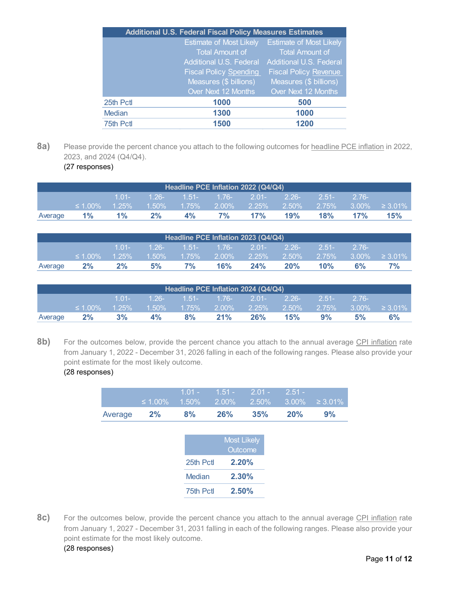|           | <b>Additional U.S. Federal Fiscal Policy Measures Estimates</b> |                                |
|-----------|-----------------------------------------------------------------|--------------------------------|
|           | <b>Estimate of Most Likely</b>                                  | <b>Estimate of Most Likely</b> |
|           | <b>Total Amount of</b>                                          | <b>Total Amount of</b>         |
|           | Additional U.S. Federal                                         | Additional U.S. Federal        |
|           | <b>Fiscal Policy Spending</b>                                   | <b>Fiscal Policy Revenue</b>   |
|           | Measures (\$ billions)                                          | Measures (\$ billions)         |
|           | Over Next 12 Months                                             | Over Next 12 Months            |
| 25th Pctl | 1000                                                            | 500                            |
| Median    | 1300                                                            | 1000                           |
| 75th Pctl | 1500                                                            | 1200                           |

**<sup>8</sup>a)** Please provide the percent chance you attach to the following outcomes for headline PCE inflation in 2022, 2023, and 2024 (Q4/Q4).

<span id="page-10-0"></span>(27 responses)

| Headline PCE Inflation 2022 (Q4/Q4) |               |          |                            |    |    |     |          |         |          |                                            |
|-------------------------------------|---------------|----------|----------------------------|----|----|-----|----------|---------|----------|--------------------------------------------|
|                                     |               | $1.01 -$ | $1.26$ - 1.51- 1.76- 2.01- |    |    |     | $-2.26-$ | $2.51-$ | $-2.76-$ |                                            |
|                                     | $\leq 1.00\%$ |          | $1.25\%$ $1.50\%$ $1.75\%$ |    |    |     |          |         |          | $2.00\%$ 2.25% 2.50% 2.75% 3.00% ≥ 3.01% l |
| Average                             | $1\%$         | $1\%$    | 2%                         | 4% | 7% | 17% | 19%      | 18%     | 17%      | 15%                                        |

| Headline PCE Inflation 2023 (Q4/Q4) |               |          |                   |       |     |                                        |     |          |          |                              |
|-------------------------------------|---------------|----------|-------------------|-------|-----|----------------------------------------|-----|----------|----------|------------------------------|
|                                     |               | $1.01 -$ |                   |       |     | <u>. 1.26- 1.51- 1.76- 2.01- 2.26-</u> |     | $-2.51-$ | $-2.76-$ |                              |
|                                     | $\leq 1.00\%$ | $1.25\%$ | $1.50\%$ $1.75\%$ |       |     | $2.00\%$ 2.25%                         |     |          |          | $-2.50\%$ 2.75% 3.00% ≥3.01% |
| Average                             | 2%            | 2%       | 5%                | $7\%$ | 16% | 24%                                    | 20% | 10%      | 6%       | <b>7%</b>                    |

| Headline PCE Inflation 2024 (Q4/Q4) |                                                          |       |  |  |  |  |  |           |  |                                                                                    |
|-------------------------------------|----------------------------------------------------------|-------|--|--|--|--|--|-----------|--|------------------------------------------------------------------------------------|
|                                     |                                                          | 1 01- |  |  |  |  |  | 251-276-1 |  |                                                                                    |
|                                     | $\leq 1.00\%$                                            |       |  |  |  |  |  |           |  | $1.25\%$ $1.50\%$ $1.75\%$ $2.00\%$ $2.25\%$ $2.50\%$ $2.75\%$ $3.00\%$ ≥ $3.01\%$ |
| Average                             | 21%<br>26%<br>15%<br>3%<br>8%<br>9%<br>2%<br>5%<br>$4\%$ |       |  |  |  |  |  |           |  | $6\%$                                                                              |

8b) For the outcomes below, provide the percent chance you attach to the annual average CPI inflation rate from January 1, 2022 - December 31, 2026 falling in each of the following ranges. Please also provide your point estimate for the most likely outcome.

#### (28 responses)

|         | $\leq 1.00\%$ | $1.01 -$<br>1.50% | $1.51 -$<br>2.00% | $2.01 -$<br>2.50%                    | $2.51 -$<br>3.00% | $\geq 3.01\%$ |
|---------|---------------|-------------------|-------------------|--------------------------------------|-------------------|---------------|
| Average | 2%            | 8%                | 26%               | 35%                                  | 20%               | 9%            |
|         |               |                   |                   |                                      |                   |               |
|         |               |                   |                   | <b>Most Likely</b><br><b>Outcome</b> |                   |               |
|         |               | 25th Pctl         |                   | 2.20%                                |                   |               |
|         |               | <b>Median</b>     |                   | 2.30%                                |                   |               |
|         |               | 75th Pct          |                   | 2.50%                                |                   |               |

8c) For the outcomes below, provide the percent chance you attach to the annual average CPI inflation rate from January 1, 2027 - December 31, 2031 falling in each of the following ranges. Please also provide your point estimate for the most likely outcome. (28 responses)